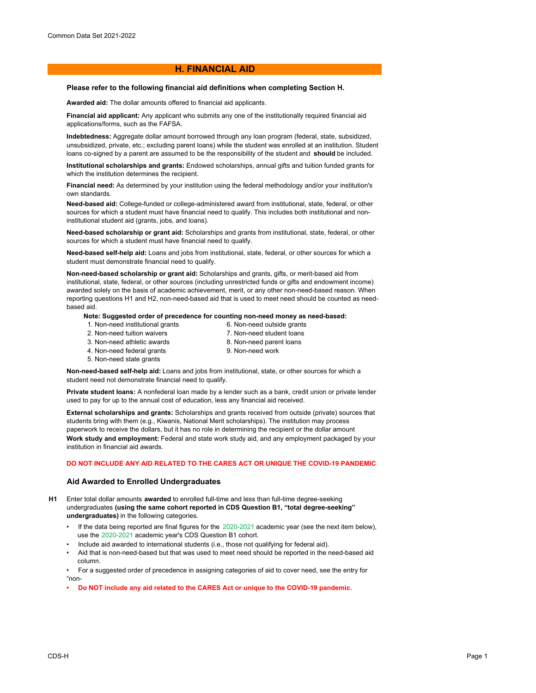# **H. FINANCIAL AID**

### **Please refer to the following financial aid definitions when completing Section H.**

**Awarded aid:** The dollar amounts offered to financial aid applicants.

**Financial aid applicant:** Any applicant who submits any one of the institutionally required financial aid applications/forms, such as the FAFSA.

**Indebtedness:** Aggregate dollar amount borrowed through any loan program (federal, state, subsidized, unsubsidized, private, etc.; excluding parent loans) while the student was enrolled at an institution. Student loans co-signed by a parent are assumed to be the responsibility of the student and **should** be included.

**Institutional scholarships and grants:** Endowed scholarships, annual gifts and tuition funded grants for which the institution determines the recipient.

**Financial need:** As determined by your institution using the federal methodology and/or your institution's own standards.

**Need-based aid:** College-funded or college-administered award from institutional, state, federal, or other sources for which a student must have financial need to qualify. This includes both institutional and noninstitutional student aid (grants, jobs, and loans).

**Need-based scholarship or grant aid:** Scholarships and grants from institutional, state, federal, or other sources for which a student must have financial need to qualify.

**Need-based self-help aid:** Loans and jobs from institutional, state, federal, or other sources for which a student must demonstrate financial need to qualify.

**Non-need-based scholarship or grant aid:** Scholarships and grants, gifts, or merit-based aid from institutional, state, federal, or other sources (including unrestricted funds or gifts and endowment income) awarded solely on the basis of academic achievement, merit, or any other non-need-based reason. When reporting questions H1 and H2, non-need-based aid that is used to meet need should be counted as needbased aid.

### **Note: Suggested order of precedence for counting non-need money as need-based:**

- 1. Non-need institutional grants 2. Non-need tuition waivers
- 6. Non-need outside grants 7. Non-need student loans
- 3. Non-need athletic awards
- 8. Non-need parent loans
- 4. Non-need federal grants
- 9. Non-need work
- 5. Non-need state grants

**Non-need-based self-help aid:** Loans and jobs from institutional, state, or other sources for which a student need not demonstrate financial need to qualify.

**Private student loans:** A nonfederal loan made by a lender such as a bank, credit union or private lender used to pay for up to the annual cost of education, less any financial aid received.

**External scholarships and grants:** Scholarships and grants received from outside (private) sources that students bring with them (e.g., Kiwanis, National Merit scholarships). The institution may process paperwork to receive the dollars, but it has no role in determining the recipient or the dollar amount **Work study and employment:** Federal and state work study aid, and any employment packaged by your institution in financial aid awards.

## **DO NOT INCLUDE ANY AID RELATED TO THE CARES ACT OR UNIQUE THE COVID-19 PANDEMIC**

## **Aid Awarded to Enrolled Undergraduates**

- **H1** Enter total dollar amounts **awarded** to enrolled full-time and less than full-time degree-seeking undergraduates **(using the same cohort reported in CDS Question B1, "total degree-seeking" undergraduates)** in the following categories.
	- If the data being reported are final figures for the 2020-2021 academic year (see the next item below), use the 2020-2021 academic year's CDS Question B1 cohort.
	- Include aid awarded to international students (i.e., those not qualifying for federal aid).
	- Aid that is non-need-based but that was used to meet need should be reported in the need-based aid column.

• For a suggested order of precedence in assigning categories of aid to cover need, see the entry for "non-

**• Do NOT include any aid related to the CARES Act or unique to the COVID-19 pandemic.**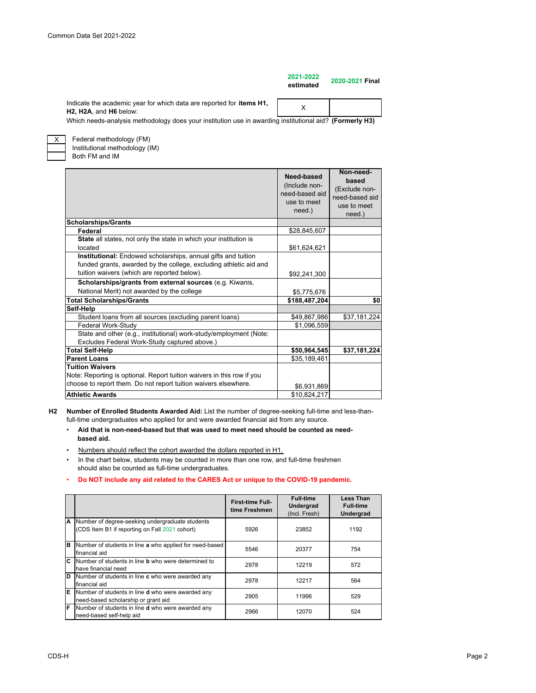| 2021-2022<br>estimated | 2020-2021 Final |
|------------------------|-----------------|
|                        |                 |

X

Indicate the academic year for which data are reported for **items H1, H2, H2A**, and **H6** below:

Which needs-analysis methodology does your institution use in awarding institutional aid? **(Formerly H3)**

X

Both FM and IM Federal methodology (FM) Institutional methodology (IM)

|                                                                                                                                    | Need-based<br>(Include non-<br>need-based aid<br>use to meet<br>need.) | Non-need-<br>based<br>(Exclude non-<br>need-based aid<br>use to meet<br>need.) |
|------------------------------------------------------------------------------------------------------------------------------------|------------------------------------------------------------------------|--------------------------------------------------------------------------------|
| <b>Scholarships/Grants</b>                                                                                                         |                                                                        |                                                                                |
| Federal                                                                                                                            | \$28,845,607                                                           |                                                                                |
| State all states, not only the state in which your institution is                                                                  |                                                                        |                                                                                |
| located                                                                                                                            | \$61,624,621                                                           |                                                                                |
| Institutional: Endowed scholarships, annual gifts and tuition<br>funded grants, awarded by the college, excluding athletic aid and |                                                                        |                                                                                |
| tuition waivers (which are reported below).                                                                                        | \$92,241,300                                                           |                                                                                |
| Scholarships/grants from external sources (e.g. Kiwanis,                                                                           |                                                                        |                                                                                |
| National Merit) not awarded by the college                                                                                         | \$5,775,676                                                            |                                                                                |
| <b>Total Scholarships/Grants</b>                                                                                                   | \$188,487,204                                                          | \$0                                                                            |
| Self-Help                                                                                                                          |                                                                        |                                                                                |
| Student loans from all sources (excluding parent loans)                                                                            | \$49,867,986                                                           | \$37,181,224                                                                   |
| Federal Work-Study                                                                                                                 | \$1,096,559                                                            |                                                                                |
| State and other (e.g., institutional) work-study/employment (Note:                                                                 |                                                                        |                                                                                |
| Excludes Federal Work-Study captured above.)                                                                                       |                                                                        |                                                                                |
| <b>Total Self-Help</b>                                                                                                             | \$50,964,545                                                           | \$37,181,224                                                                   |
| <b>Parent Loans</b>                                                                                                                | \$35,189,461                                                           |                                                                                |
| <b>Tuition Waivers</b>                                                                                                             |                                                                        |                                                                                |
| Note: Reporting is optional. Report tuition waivers in this row if you                                                             |                                                                        |                                                                                |
| choose to report them. Do not report tuition waivers elsewhere.                                                                    | \$6,931,869                                                            |                                                                                |
| <b>Athletic Awards</b>                                                                                                             | \$10,824,217                                                           |                                                                                |

**H2 Number of Enrolled Students Awarded Aid:** List the number of degree-seeking full-time and less-thanfull-time undergraduates who applied for and were awarded financial aid from any source.

- • **Aid that is non-need-based but that was used to meet need should be counted as need based aid.**
- Numbers should reflect the cohort awarded the dollars reported in H1.
- In the chart below, students may be counted in more than one row, and full-time freshmen should also be counted as full-time undergraduates.

#### • **Do NOT include any aid related to the CARES Act or unique to the COVID-19 pandemic.**

|     |                                                                                                   | <b>First-time Full-</b><br>time Freshmen | <b>Full-time</b><br><b>Undergrad</b><br>(Incl. Fresh) | <b>Less Than</b><br><b>Full-time</b><br>Undergrad |
|-----|---------------------------------------------------------------------------------------------------|------------------------------------------|-------------------------------------------------------|---------------------------------------------------|
| A   | Number of degree-seeking undergraduate students<br>(CDS Item B1 if reporting on Fall 2021 cohort) | 5926                                     | 23852                                                 | 1192                                              |
| B   | Number of students in line a who applied for need-based<br>financial aid                          | 5546                                     | 20377                                                 | 754                                               |
| C.  | Number of students in line <b>b</b> who were determined to<br>have financial need                 | 2978                                     | 12219                                                 | 572                                               |
| ID. | Number of students in line c who were awarded any<br>financial aid                                | 2978                                     | 12217                                                 | 564                                               |
| E   | Number of students in line <b>d</b> who were awarded any<br>need-based scholarship or grant aid   | 2905                                     | 11996                                                 | 529                                               |
| F   | Number of students in line <b>d</b> who were awarded any<br>need-based self-help aid              | 2966                                     | 12070                                                 | 524                                               |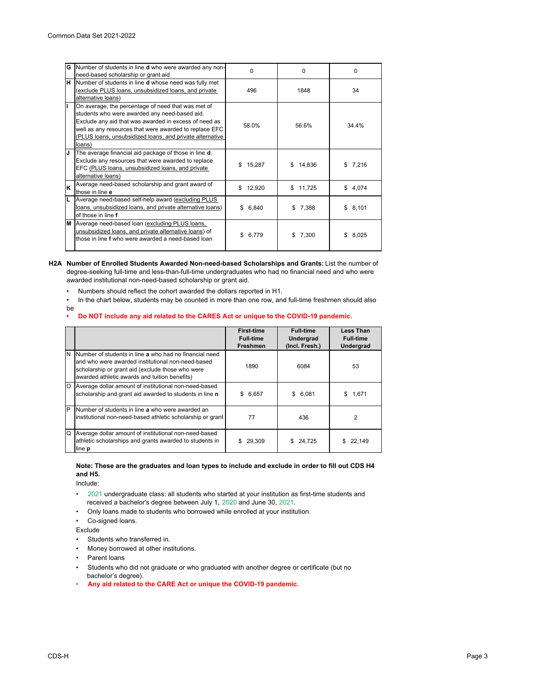| G  | Number of students in line <b>d</b> who were awarded any non-<br>need-based scholarship or grant aid                                                                                                                                                                                         | 0            | 0            | $\Omega$    |
|----|----------------------------------------------------------------------------------------------------------------------------------------------------------------------------------------------------------------------------------------------------------------------------------------------|--------------|--------------|-------------|
| н  | Number of students in line <b>d</b> whose need was fully met<br>exclude PLUS loans, unsubsidized loans, and private<br>alternative loans)                                                                                                                                                    | 496          | 1848         | 34          |
|    | On average, the percentage of need that was met of<br>students who were awarded any need-based aid.<br>Exclude any aid that was awarded in excess of need as<br>well as any resources that were awarded to replace EFC<br>(PLUS loans, unsubsidized loans, and private alternative<br>loans) | 58.0%        | 56.6%        | 34.4%       |
| IJ | The average financial aid package of those in line d.<br>Exclude any resources that were awarded to replace<br>EFC (PLUS loans, unsubsidized loans, and private<br>alternative loans)                                                                                                        | \$<br>15,287 | 14.836<br>S  | 7,216       |
| Ιĸ | Average need-based scholarship and grant award of<br>those in line e                                                                                                                                                                                                                         | \$12,920     | \$11,725     | \$4,074     |
| L  | Average need-based self-help award (excluding PLUS<br>loans, unsubsidized loans, and private alternative loans)<br>of those in line f                                                                                                                                                        | \$<br>6,840  | 7,388<br>\$. | 8,101<br>\$ |
| M  | Average need-based loan (excluding PLUS loans,<br>unsubsidized loans, and private alternative loans) of<br>those in line f who were awarded a need-based loan                                                                                                                                | 6.779        | 7.300        | 8.025       |

**H2A Number of Enrolled Students Awarded Non-need-based Scholarships and Grants:** List the number of degree-seeking full-time and less-than-full-time undergraduates who had no financial need and who were awarded institutional non-need-based scholarship or grant aid.

- Numbers should reflect the cohort awarded the dollars reported in H1.
- In the chart below, students may be counted in more than one row, and full-time freshmen should also be<br>•

### **• Do NOT include any aid related to the CARES Act or unique to the COVID-19 pandemic.**

|         |                                                                                                                                                                                                                  | <b>First-time</b><br><b>Full-time</b><br><b>Freshmen</b> | <b>Full-time</b><br><b>Undergrad</b><br>(Incl. Fresh.) | Less Than<br><b>Full-time</b><br><b>Undergrad</b> |
|---------|------------------------------------------------------------------------------------------------------------------------------------------------------------------------------------------------------------------|----------------------------------------------------------|--------------------------------------------------------|---------------------------------------------------|
| N       | Number of students in line a who had no financial need<br>and who were awarded institutional non-need-based<br>scholarship or grant aid (exclude those who were<br>awarded athletic awards and tuition benefits) | 1890                                                     | 6084                                                   | 53                                                |
| $\circ$ | Average dollar amount of institutional non-need-based<br>scholarship and grant aid awarded to students in line n                                                                                                 | \$6,657                                                  | \$6,081                                                | 1,671<br>\$.                                      |
| P       | Number of students in line a who were awarded an<br>institutional non-need-based athletic scholarship or grant                                                                                                   | 77                                                       | 436                                                    | $\overline{2}$                                    |
| Q       | Average dollar amount of institutional non-need-based<br>athletic scholarships and grants awarded to students in<br>line <b>p</b>                                                                                | S<br>29,309                                              | \$24.725                                               | 22.149<br>S.                                      |

## **Note: These are the graduates and loan types to include and exclude in order to fill out CDS H4 and H5.**

Include:

- •2021 undergraduate class: all students who started at your institution as first-time students and received a bachelor's degree between July 1, 2020 and June 30, 2021.
- Only loans made to students who borrowed while enrolled at your institution.

Co-signed loans.

Exclude

- Students who transferred in.
- Money borrowed at other institutions.
- Parent loans
- Students who did not graduate or who graduated with another degree or certificate (but no bachelor's degree).
- **Any aid related to the CARE Act or unique the COVID-19 pandemic.**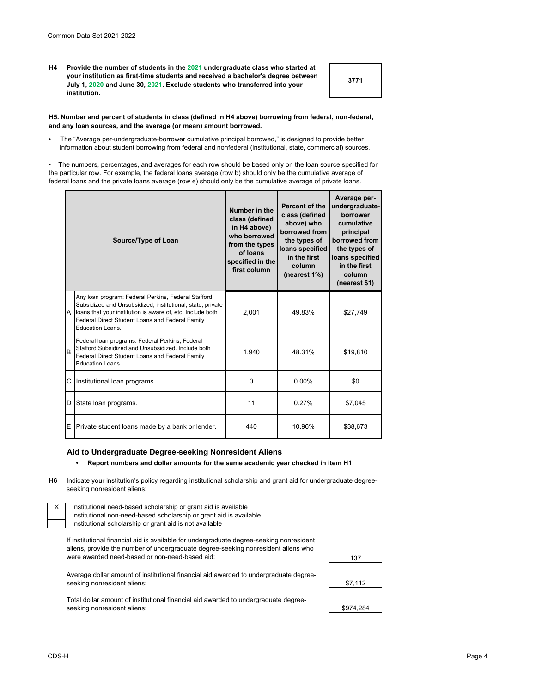**H4 Provide the number of students in the 2021 undergraduate class who started at your institution as first-time students and received a bachelor's degree between July 1, 2020 and June 30, 2021. Exclude students who transferred into your institution.**

**3771**

137

### **H5. Number and percent of students in class (defined in H4 above) borrowing from federal, non-federal, and any loan sources, and the average (or mean) amount borrowed.**

• The "Average per-undergraduate-borrower cumulative principal borrowed," is designed to provide better information about student borrowing from federal and nonfederal (institutional, state, commercial) sources.

• The numbers, percentages, and averages for each row should be based only on the loan source specified for the particular row. For example, the federal loans average (row b) should only be the cumulative average of federal loans and the private loans average (row e) should only be the cumulative average of private loans.

| Source/Type of Loan |                                                                                                                                                                                                                                                          | Number in the<br>class (defined<br>in H4 above)<br>who borrowed<br>from the types<br>of loans<br>specified in the<br>first column | Percent of the<br>class (defined<br>above) who<br>borrowed from<br>the types of<br>loans specified<br>in the first<br>column<br>(nearest 1%) | Average per-<br>undergraduate-<br>borrower<br>cumulative<br>principal<br>borrowed from<br>the types of<br>loans specified<br>in the first<br>column<br>(nearest \$1) |
|---------------------|----------------------------------------------------------------------------------------------------------------------------------------------------------------------------------------------------------------------------------------------------------|-----------------------------------------------------------------------------------------------------------------------------------|----------------------------------------------------------------------------------------------------------------------------------------------|----------------------------------------------------------------------------------------------------------------------------------------------------------------------|
|                     | Any loan program: Federal Perkins, Federal Stafford<br>Subsidized and Unsubsidized, institutional, state, private<br>A loans that your institution is aware of, etc. Include both<br>Federal Direct Student Loans and Federal Family<br>Education Loans. | 2,001                                                                                                                             | 49.83%                                                                                                                                       | \$27,749                                                                                                                                                             |
| B                   | Federal Ioan programs: Federal Perkins, Federal<br>Stafford Subsidized and Unsubsidized. Include both<br>Federal Direct Student Loans and Federal Family<br>Education Loans.                                                                             | 1,940                                                                                                                             | 48.31%                                                                                                                                       | \$19,810                                                                                                                                                             |
| С                   | Institutional loan programs.                                                                                                                                                                                                                             | $\Omega$                                                                                                                          | $0.00\%$                                                                                                                                     | \$0                                                                                                                                                                  |
| D                   | State loan programs.                                                                                                                                                                                                                                     | 11                                                                                                                                | 0.27%                                                                                                                                        | \$7,045                                                                                                                                                              |
| E                   | Private student loans made by a bank or lender.                                                                                                                                                                                                          | 440                                                                                                                               | 10.96%                                                                                                                                       | \$38,673                                                                                                                                                             |

## **Aid to Undergraduate Degree-seeking Nonresident Aliens**

# **• Report numbers and dollar amounts for the same academic year checked in item H1**

**H6** Indicate your institution's policy regarding institutional scholarship and grant aid for undergraduate degreeseeking nonresident aliens:

Institutional need-based scholarship or grant aid is available Institutional non-need-based scholarship or grant aid is available Institutional scholarship or grant aid is not available

If institutional financial aid is available for undergraduate degree-seeking nonresident aliens, provide the number of undergraduate degree-seeking nonresident aliens who were awarded need-based or non-need-based aid:

| Average dollar amount of institutional financial aid awarded to undergraduate degree- |           |
|---------------------------------------------------------------------------------------|-----------|
| seeking nonresident aliens:                                                           | \$7.112   |
| Total dollar amount of institutional financial aid awarded to undergraduate degree-   |           |
| seeking nonresident aliens:                                                           | \$974.284 |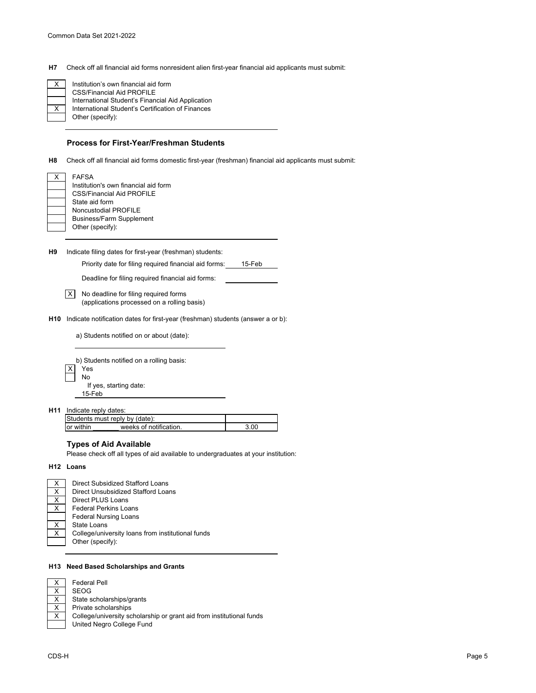**H7** Check off all financial aid forms nonresident alien first-year financial aid applicants must submit:

International Student's Certification of Finances Other (specify): CSS/Financial Aid PROFILE International Student's Financial Aid Application Institution's own financial aid form

### **Process for First-Year/Freshman Students**

**H8** Check off all financial aid forms domestic first-year (freshman) financial aid applicants must submit:

| X | FAFSA                                |
|---|--------------------------------------|
|   | Institution's own financial aid form |
|   | <b>CSS/Financial Aid PROFILE</b>     |
|   | State aid form                       |
|   | Noncustodial PROFILE                 |
|   | <b>Business/Farm Supplement</b>      |
|   | Other (specify):                     |

**H9** Indicate filing dates for first-year (freshman) students:

Priority date for filing required financial aid forms: 15-Feb

Deadline for filing required financial aid forms:

X No deadline for filing required forms (applications processed on a rolling basis)

**H10** Indicate notification dates for first-year (freshman) students (answer a or b):

a) Students notified on or about (date):

| b) Students notified on a rolling basis: |                        |  |
|------------------------------------------|------------------------|--|
|                                          | Yes                    |  |
|                                          | No                     |  |
|                                          | If yes, starting date: |  |
|                                          | $15$ -Feb              |  |

**H11** Indicate reply dates:

|            | Students must reply by (date): |  |
|------------|--------------------------------|--|
| lor within | weeks of notification          |  |

# **Types of Aid Available**

Please check off all types of aid available to undergraduates at your institution:

#### **H12 Loans**

| X        | Direct Subsidized Stafford Loans                  |
|----------|---------------------------------------------------|
| $\times$ | Direct Unsubsidized Stafford Loans                |
| $\times$ | Direct PLUS Loans                                 |
| $\times$ | <b>Federal Perkins Loans</b>                      |
|          | <b>Federal Nursing Loans</b>                      |
| $\times$ | State Loans                                       |
| $\times$ | College/university loans from institutional funds |
|          | Other (specify):                                  |

#### **H13 Need Based Scholarships and Grants**

Federal Pell

SEOG State scholarships/grants Private scholarships College/university scholarship or grant aid from institutional funds United Negro College Fund